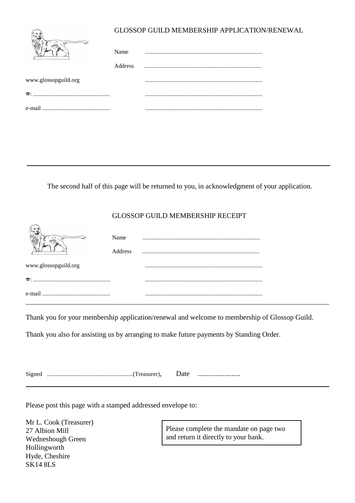|                      | GLOSSOP GUILD MEMBERSHIP APPLICATION/RENEWAL |  |  |  |
|----------------------|----------------------------------------------|--|--|--|
|                      | Name                                         |  |  |  |
|                      | Address                                      |  |  |  |
| www.glossopguild.org |                                              |  |  |  |
| $\mathbf{a}_{1}$ .   |                                              |  |  |  |
| e-mail               |                                              |  |  |  |

The second half of this page will be returned to you, in acknowledgment of your application.

## GLOSSOP GUILD MEMBERSHIP RECEIPT

|                      | Name<br>Address |  |
|----------------------|-----------------|--|
| www.glossopguild.org |                 |  |
|                      |                 |  |
|                      |                 |  |

Thank you for your membership application/renewal and welcome to membership of Glossop Guild.

Thank you also for assisting us by arranging to make future payments by Standing Order.

| Signed |  | Date |  |
|--------|--|------|--|
|--------|--|------|--|

Please post this page with a stamped addressed envelope to:

Mr L. Cook (Treasurer) 27 Albion Mill Wedneshough Green Hollingworth Hyde, Cheshire SK14 8LS

Please complete the mandate on page two and return it directly to your bank.